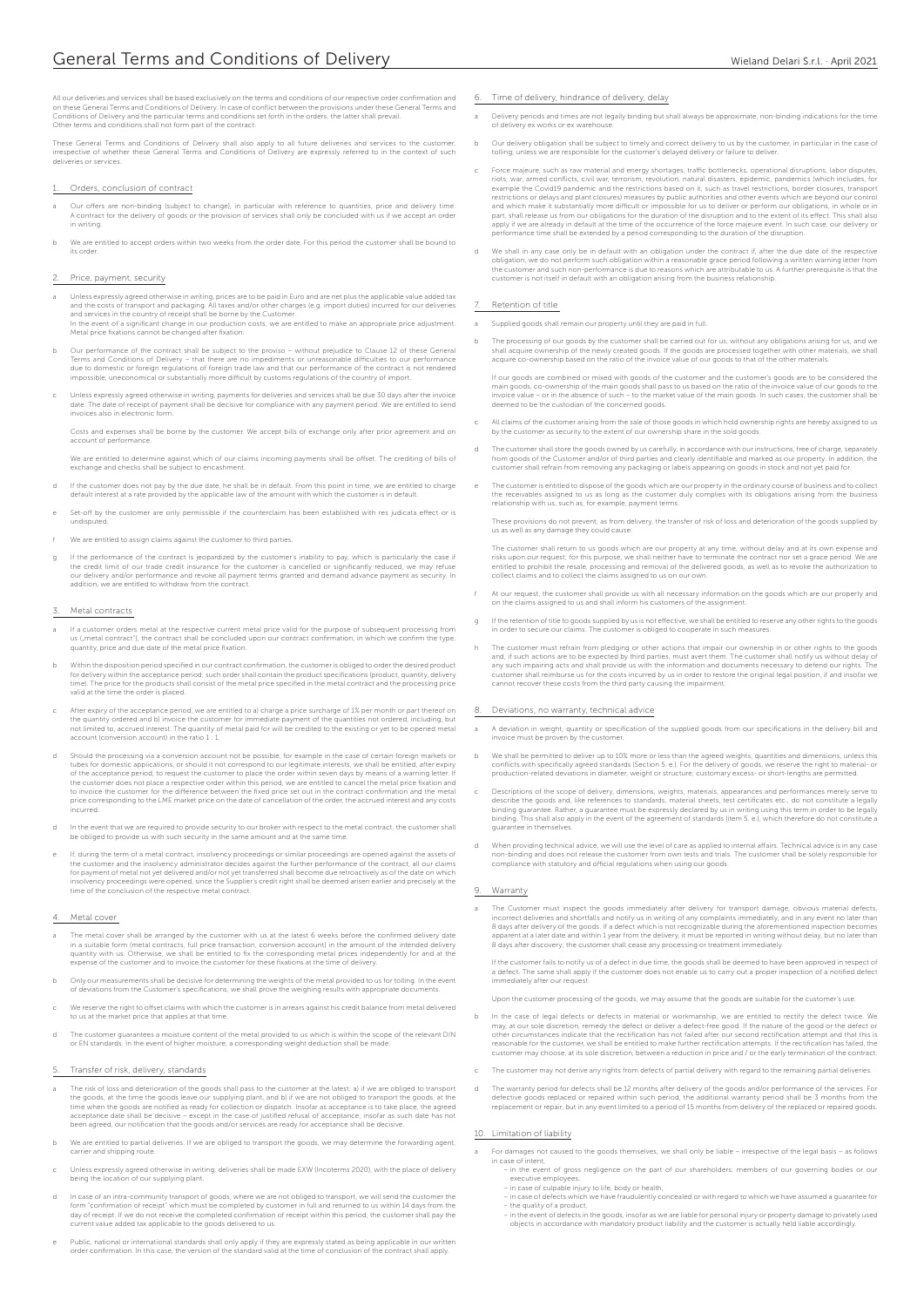All our deliveries and services shall be based exclusively on the terms and conditions of our respective order confirmation and<br>on these General Terms and Conditions of Delivery. In case of conflict between the provisions Other terms and conditions shall not form part of the contract.

These General Terms and Conditions of Delivery shall also apply to all future deliveries and services to the customer,<br>irrespective of whether these General Terms and Conditions of Delivery are expressly referred to in the eries or services

- Orders, conclusion of contract
- . Our offers are non-binding (subject to change), in particular with reference to quantities, price and delivery time<br>A contract for the delivery of goods or the provision of services shall only be concluded with us if we in writing.
- b We are entitled to accept orders within two weeks from the order date. For this period the customer shall be bound to its order.

### Price, payment, security

- Unless expressly agreed otherwise in writing, prices are to be paid in Euro and are net plus the applicable value added tax and the costs of transport and packaging. All taxes and/or other charges (e.g. import duties) incurred for our deliveries<br>and services in the country of receipt shall be borne by the Customer.<br>In the event of a significant
- b Our performance of the contract shall be subject to the proviso without prejudice to Clause 12 of these General Terms and Conditions of Delivery – that there are no impediments or unreasonable difficulties to our performance<br>due to domestic or foreign regulations of foreign trade law and that our performance of the contract is not r
- c Unless expressly agreed otherwise in writing, payments for deliveries and services shall be due 30 days after the invoice<br>date. The date of receipt of payment shall be decisive for compliance with any payment period. We

Costs and expenses shall be borne by the customer. We accept bills of exchange only after prior agreement and on account of performance.

We are entitled to determine against which of our claims incoming payments shall be offset. The crediting of bills of exchange and checks shall be subject to encashment.

- If the customer does not pay by the due date, he shall be in default. From this point in time, we are entitled to charge default interest at a rate provided by the applicable law of the amount with which the customer is in default.
- Set-off by the customer are only permissible if the counterclaim has been established with res judicata effect or is undisputed.
- We are entitled to assign claims against the customer to third parties.
- If the performance of the contract is jeopardized by the customer's inability to pay, which is particularly the case if<br>the credit limit of our trade credit insurance for the customer is cancelled or significantly reduced, addition, we are entitled to withdraw from the contract.

#### Metal contracts

- a If a customer orders metal at the respective current metal price valid for the purpose of subsequent processing from us ("metal contract"), the contract shall be concluded upon our contract confirmation, in which we confirm the type quantity, price and due date of the metal price fixation.
- b Within the disposition period specified in our contract confirmation, the customer is obliged to order the desired product for deliver the desired product for deliver the desired product for the product stream in the pro
- After expiry of the acceptance period, we are entitled to a) charge a price surcharge of 1% per month or part thereof or the quantity ordered and b) invoice the customer for immediate payment of the quantities not ordered, including, but<br>not limited to, accrued interest. The quantity of metal paid for will be credited to the existing or yet account (conversion account) in the ratio 1 : 1.
- d Should the processing via a conversion account not be possible, for example in the case of certain foreign markets or tubes for domestic applications, or should it not correspond to our legitimate interests, we shall be entitled, after expiry of the acceptance period, to request the customer to place the order within seven days by means of a warning letter. If the customer does not place a respective order within this period, we are entitled to cancel the metal price fixation and<br>to invoice the customer for the difference between the fixed price set out in the contract confirmat incurred.
- d In the event that we are required to provide security to our broker with respect to the metal contract, the customer shall be obliged to provide us with such security in the same amount and at the same time.
- If, during the term of a metal contract, insolvency proceedings or similar proceedings are opened against the assets of<br>the customer and the insolvency administrator decides against the further performance of the contract, time of the conclusion of the respective metal contract.

### Metal cover

- The metal cover shall be arranged by the customer with us at the latest 6 weeks before the confirmed delivery date in a suitable form (metal contracts, full price transaction, conversion account) in the amount of the inten
- b Only our measurements shall be decisive for determining the weights of the metal provided to us for tolling. In the event<br>of deviations from the Customer's specifications, we shall prove the weighing results with appropr
- We reserve the right to offset claims with which the customer is in arrears against his credit balance from metal delivered to us at the market price that applies at that time.
- d The customer guarantees a moisture content of the metal provided to us which is within the scope of the relevant DIN or EN standards. In the event of higher moisture, a corresponding weight deduction shall be made.

#### 5. Transfer of risk, delivery, standards

- The risk of loss and deterioration of the goods shall pass to the customer at the latest: a) if we are obliged to transport<br>the goods, at the time the goods leave our supplying plant, and b) if we are not obliged to transp been agreed, our notification that the goods and/or services are ready for acceptance shall be decisive.
- b We are entitled to partial deliveries. If we are obliged to transport the goods, we may determine the forwarding agent carrier and shipping route.
- c Unless expressly agreed otherwise in writing, deliveries shall be made EXW (Incoterms 2020), with the place of delivery being the location of our supplying plant.
- In case of an intra-community transport of goods, where we are not obliged to transport, we will send the customer the<br>form "confirmation of receipt" which must be completed by customer in full and returned to us within 14
- e Public, national or international standards shall only apply if they are expressly stated as being applicable in our written<br>Order confirmation. In this case, the version of the standard valid at the time of conclusion o
- Time of delivery, hindrance of delivery, delay
- a Delivery periods and times are not legally binding but shall always be approximate, non-binding indications for the time of delivery ex works or ex warehouse.
- b Our delivery obligation shall be subject to timely and correct delivery to us by the customer, in particular in the case of tolling, unless we are responsible for the customer's delayed delivery or failure to deliver.
- Force majeure, such as raw material and energy shortages, traffic bottlenecks, operational disruptions, labor disputes,<br>riots, war, armed conflicts, civil war, terrorism, revolution, natural disasters, epidemic, pandemics restrictions or delays and plant closures) measures by public authorities and other events which are beyond our control and which make it substantially more difficult or impossible for us to deliver or perform our obligations, in whole or in<br>part, shall release us from our obligations for the duration of the disruption and to the extent of apply if we are already in default at the time of the occurrence of the force majeure event. In such case, our delivery or performance time shall be extended by a period corresponding to the duration of the disruption.
- d We shall in any case only be in default with an obligation under the contract if, after the due date of the respective obligation, we do not perform such obligation within a reasonable grace period following a written warning letter from<br>the customer and such non-performance is due to reasons which are attributable to us. A further prerequ

# Retention of title

- a Supplied goods shall remain our property until they are paid in full.
- b The processing of our goods by the customer shall be carried out for us, without any obligations arising for us, and we<br>shall acquire ownership of the newly created goods. If the goods are processed together with other m acquire co-ownership based on the ratio of the invoice value of our goods to that of the other materials.

If our goods are combined or mixed with goods of the customer and the customer's goods are to be considered the<br>main goods, co-ownership of the main goods shall pass to us based on the ratio of the invoice value of our goo

- c All claims of the customer arising from the sale of those goods in which hold ownership rights are hereby assigned to us by the customer as security to the extent of our ownership share in the sold goods.
- The customer shall store the goods owned by us carefully, in accordance with our instructions, free of charge, separately<br>from goods of the Customer and/or of third parties and clearly identifiable and marked as our proper
- The customer is entitled to dispose of the goods which are our property in the ordinary course of bus the receivables assigned to us as long as the customer duly complies with its obligations arising from the business relationship with us, such as, for example, payment terms.

These provisions do not prevent, as from delivery, the transfer of risk of loss and deterioration of the goods supplied by us as well as any damage they could cause.

The customer shall return to us goods which are our property at any time, without delay and at its own expense and<br>risks upon our request; for this purpose, we shall neither have to terminate the contract nor set a grace p

- At our request, the customer shall provide us with all necessary information on the goods which are our property and on the claims assigned to us and shall inform his customers of the assignment.
- g If the retention of title to goods supplied by us is not effective, we shall be entitled to reserve any other rights to the goods in order to secure our claims. The customer is obliged to cooperate in such measures.
- The customer must refrain from pledging or other actions that impair our ownership in or other rights to the goods<br>and, if such actions are to be expected by third parties, must avert them. The customer shall notify us wit

## 8. Deviations, no warranty, technical advice

- a A deviation in weight, quantity or specification of the supplied goods from our specifications in the delivery bill and invoice must be proven by the customer.
- b We shall be permitted to deliver up to 10% more or less than the agreed weights, quantities and dimensions, unless this<br>conflicts with specifically agreed standards (Section 5. e.). For the delivery of goods, we reserve production-related deviations in diameter, weight or structure; customary excess- or short-lengths are permitted.
- Descriptions of the scope of delivery, dimensions, weights, materials, appearances and performances merely serve to<br>describe the goods and, like references to standards, material sheets, test certificates etc., do not cons
- When providing technical advice, we will use the level of care as applied to internal affairs. Technical advice is in any case non-binding and does not release the customer from own tests and trials. The customer shall be solely responsible for compliance with statutory and official regulations when using our goods.

### 9. Warranty

The Customer must inspect the goods immediately after delivery for transport damage, obvious material defects, incorrect deliveries and shortfalls and notify us in writing of any complaints immediately, and in any event no later than<br>8 days after delivery of the goods. If a defect which is not recognizable during the aforementioned

If the customer fails to notify us of a defect in due time, the goods shall be deemed to have been approved in respect of<br>a defect. The same shall apply if the customer does not enable us to carry out a proper inspection o immediately after our request.

Upon the customer processing of the goods, we may assume that the goods are suitable for the customer's use.

- b In the case of legal defects or defects in material or workmanship, we are entitled to rectify the defect twice. We may, at our sole discretion, remedy the defect or deliver a defect-free good. If the nature of the good or the defect or<br>other circumstances indicate that the rectification has not failed after our second rectification att reasonable for the customer, we shall be entitled to make further rectification attempts. If the rectification has failed, the customer may choose, at its sole discretion, between a reduction in price and / or the early termination of the contract.
- The customer may not derive any rights from defects of partial delivery with regard to the remaining partial delive
- The warranty period for defects shall be 12 months after delivery of the goods and/or performance of the services. For<br>defective goods replaced or repaired within such period, the additional warranty period shall be 3 mont

## 10. Limitation of liability

- a For damages not caused to the goods themselves, we shall only be liable irrespective of the legal basis as follows in case of intent, ase or intent.<br>– in the event of gross negligence on the part of our shareholders, members of our governing bodies or our
	- executive employees,
- in case of culpable injury to life, body or health,<br>– in case of defects which we have fraudulently concealed or with regard to which we have assumed a guarantee for<br>– the quality of a product,
- in the event of defects in the goods, insofar as we are liable for personal injury or property damage to privately used –<br>objects in accordance with mandatory product liability and the customer is actually held liable acco